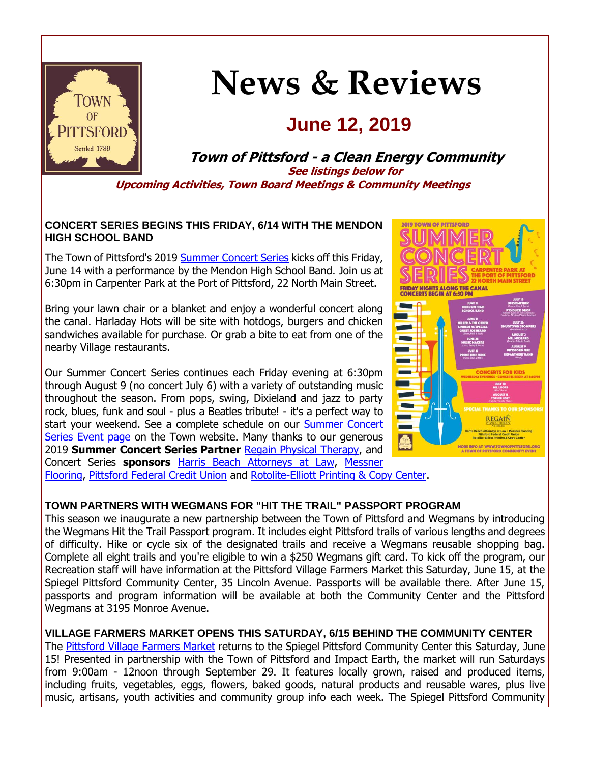

## **News & Reviews**

### **June 12, 2019**

**Town of Pittsford - a Clean Energy Community See listings below for Upcoming Activities, Town Board Meetings & Community Meetings**

#### **CONCERT SERIES BEGINS THIS FRIDAY, 6/14 WITH THE MENDON HIGH SCHOOL BAND**

The Town of Pittsford's 2019 [Summer Concert Series](http://r20.rs6.net/tn.jsp?f=001GkOr6A0T9GGVqzJN0tzfRIgV6PjY0HKUEZLoYEADd9LMuAY8vhM8T_oG3m964IwbG8I7KGSzgy_bE8sEdr9eUpNsYNv0uF121YuZPqENnvsR9Sj3J7ndTrIeEYp8XJijPsmRmLgqMBGSjLblOUfDsVrCyOAlKH8pkqqYzW-f81ztMkAIn6jOxpXD6C4sYcEs9h4ld5R6qVDI6acL8cGBgSS7RGZiwupbTM6Jtx5-4YtMi0N0b21XlDTc16C_QJioootWgcHX_xF0jfYwt8MoUtoPztuj9N5D_3gmSLsVnaI77vO_ZCll6gcugFup5Zy_&c=S40nt5wRRkwORZ6OnX3oCxuLgo81xZ5cSEZ0-LIjSiZN5M9l6u8RPQ==&ch=wY8Cs-ZIEVdEqOA9pvi2VyHaLvoZHFGzuiqjvAX4_gtDY_GfJZaPhA==) kicks off this Friday, June 14 with a performance by the Mendon High School Band. Join us at 6:30pm in Carpenter Park at the Port of Pittsford, 22 North Main Street.

Bring your lawn chair or a blanket and enjoy a wonderful concert along the canal. Harladay Hots will be site with hotdogs, burgers and chicken sandwiches available for purchase. Or grab a bite to eat from one of the nearby Village restaurants.

Our Summer Concert Series continues each Friday evening at 6:30pm through August 9 (no concert July 6) with a variety of outstanding music throughout the season. From pops, swing, Dixieland and jazz to party rock, blues, funk and soul - plus a Beatles tribute! - it's a perfect way to start your weekend. See a complete schedule on our Summer Concert [Series Event page](http://r20.rs6.net/tn.jsp?f=001GkOr6A0T9GGVqzJN0tzfRIgV6PjY0HKUEZLoYEADd9LMuAY8vhM8T_oG3m964IwbG8I7KGSzgy_bE8sEdr9eUpNsYNv0uF121YuZPqENnvsR9Sj3J7ndTrIeEYp8XJijPsmRmLgqMBGSjLblOUfDsVrCyOAlKH8pkqqYzW-f81ztMkAIn6jOxpXD6C4sYcEs9h4ld5R6qVDI6acL8cGBgSS7RGZiwupbTM6Jtx5-4YtMi0N0b21XlDTc16C_QJioootWgcHX_xF0jfYwt8MoUtoPztuj9N5D_3gmSLsVnaI77vO_ZCll6gcugFup5Zy_&c=S40nt5wRRkwORZ6OnX3oCxuLgo81xZ5cSEZ0-LIjSiZN5M9l6u8RPQ==&ch=wY8Cs-ZIEVdEqOA9pvi2VyHaLvoZHFGzuiqjvAX4_gtDY_GfJZaPhA==) on the Town website. Many thanks to our generous 2019 **Summer Concert Series Partner** [Regain Physical Therapy,](http://r20.rs6.net/tn.jsp?f=001GkOr6A0T9GGVqzJN0tzfRIgV6PjY0HKUEZLoYEADd9LMuAY8vhM8T-Tr1XwxocndfZvqguChaGf0fjP8V1ra8zNnhnK-ezR6oty0cBkTui2QfGtFSDTG_qC-JlUGp_j72BOrDH3FuSG3IUx2soIwSqdptfWLSazavvjQ6eosDn2eFMlcttIk_1MH-apdFXABDoFPnta6nRdNvy1TZrbt9exOew-Goz6gxYBW7Luh7tNO9pdz4c6qQe-Rv3b4_W7O6SSn9jRrJ3s5xdvCZHfqIYzyoW6CpiWg&c=S40nt5wRRkwORZ6OnX3oCxuLgo81xZ5cSEZ0-LIjSiZN5M9l6u8RPQ==&ch=wY8Cs-ZIEVdEqOA9pvi2VyHaLvoZHFGzuiqjvAX4_gtDY_GfJZaPhA==) and Concert Series **sponsors** [Harris Beach Attorneys at Law,](http://r20.rs6.net/tn.jsp?f=001GkOr6A0T9GGVqzJN0tzfRIgV6PjY0HKUEZLoYEADd9LMuAY8vhM8T7mNOlthizYWoHnCyTNE7P6eeyxVYwL64lICx4Uq8IMigQcm5hS-UfXFPLXSU9Eor8fvBAyN7H-DMKO6JmD9WIevgfbwfSmo07PhWTrJOMN5gqdXB5NLh4fFnbeQl-Agq_8N2Ky_kB_hUcdvQ21UCVkoekquwGPCpi6T01hF3YeSszbGqI9zdEs5vFTT_dpX-W2ZtCp7jzn7REU814Xow1mi18Pq_qpP5fBrz4DkdY-JlLVKZzmZDOk=&c=S40nt5wRRkwORZ6OnX3oCxuLgo81xZ5cSEZ0-LIjSiZN5M9l6u8RPQ==&ch=wY8Cs-ZIEVdEqOA9pvi2VyHaLvoZHFGzuiqjvAX4_gtDY_GfJZaPhA==) [Messner](http://r20.rs6.net/tn.jsp?f=001GkOr6A0T9GGVqzJN0tzfRIgV6PjY0HKUEZLoYEADd9LMuAY8vhM8T7mNOlthizYWFxlB-lNmty64kJPi63KjKUt_NveY3oT-ko0M7Q2_6Y3UvBlUjsGKBR6Eu6NYdIdF1MQvaFyStOLmg-L_8UaVT4R40h4PvmHmW835PdJd8d8GFvN1c3y8UfJADq7IeA6PfMULnWB5sCpL9qBsvFVkkpZVvfhMtDYk1zAlAeIfUdivnvFakqM1OYKouE-DSZZIqii9IfgqFn5kPIVxLffief093wLvG96f-UMYwULP7uE=&c=S40nt5wRRkwORZ6OnX3oCxuLgo81xZ5cSEZ0-LIjSiZN5M9l6u8RPQ==&ch=wY8Cs-ZIEVdEqOA9pvi2VyHaLvoZHFGzuiqjvAX4_gtDY_GfJZaPhA==) 

[Flooring,](http://r20.rs6.net/tn.jsp?f=001GkOr6A0T9GGVqzJN0tzfRIgV6PjY0HKUEZLoYEADd9LMuAY8vhM8T7mNOlthizYWFxlB-lNmty64kJPi63KjKUt_NveY3oT-ko0M7Q2_6Y3UvBlUjsGKBR6Eu6NYdIdF1MQvaFyStOLmg-L_8UaVT4R40h4PvmHmW835PdJd8d8GFvN1c3y8UfJADq7IeA6PfMULnWB5sCpL9qBsvFVkkpZVvfhMtDYk1zAlAeIfUdivnvFakqM1OYKouE-DSZZIqii9IfgqFn5kPIVxLffief093wLvG96f-UMYwULP7uE=&c=S40nt5wRRkwORZ6OnX3oCxuLgo81xZ5cSEZ0-LIjSiZN5M9l6u8RPQ==&ch=wY8Cs-ZIEVdEqOA9pvi2VyHaLvoZHFGzuiqjvAX4_gtDY_GfJZaPhA==) [Pittsford Federal Credit Union](http://r20.rs6.net/tn.jsp?f=001GkOr6A0T9GGVqzJN0tzfRIgV6PjY0HKUEZLoYEADd9LMuAY8vhM8T1pKqL8sTdysC4qBBjK8lipb5OAzaVRRbS0gp41KnFqAm8N-uEApv3D0FH6a0ZKRQAjjHCsaz-ThTs-ns9OCGU1rRHe8zhNGY91YaHJ1Td-3blhmEGsfBGSNoklGb0-bQO_oBKiAUELbLHxgyX5AD9TzV1-HuThrjwU5iLh4IgP-mSClKmSBhLkURmuQeJ2Tp3TNe5B73KBY-x50eO8j6sc-IolHS9-qZqt3Oa-O0pGRGTqYJ_lNujU=&c=S40nt5wRRkwORZ6OnX3oCxuLgo81xZ5cSEZ0-LIjSiZN5M9l6u8RPQ==&ch=wY8Cs-ZIEVdEqOA9pvi2VyHaLvoZHFGzuiqjvAX4_gtDY_GfJZaPhA==) and [Rotolite-Elliott Printing & Copy Center.](http://r20.rs6.net/tn.jsp?f=001GkOr6A0T9GGVqzJN0tzfRIgV6PjY0HKUEZLoYEADd9LMuAY8vhM8T7mNOlthizYWHhkeCeBpVGeW1-pmva9o9jb5KFcRM4TSTAj6RkJIKuzYkvbgTUeoOqxUtUGz3fmjDmFbFzCV9IiZs_sFjmj2QtNpP5M560Bf4qA6MjKHCLPJCkGB8bziUpiihsnh6t0zh4UL3jhW98JFV-KM4E6NxrfOQn-GItHE8HyAB6f43P-1p2eG2qup7EAYtari4KvlomoYtBNoVL4CKb2IPdVRMX5sTtFLyszPRcY33F3B6sM=&c=S40nt5wRRkwORZ6OnX3oCxuLgo81xZ5cSEZ0-LIjSiZN5M9l6u8RPQ==&ch=wY8Cs-ZIEVdEqOA9pvi2VyHaLvoZHFGzuiqjvAX4_gtDY_GfJZaPhA==)

# **FRIDAY NIGHTS ALONG THE CANAL**<br>CONCERTS BEGIN AT 6:30 PM **REGATN** MORE INFO AT WWW.TOWNOFPH<br>A TOWN OF PITTSFORD COMMU

**2019 TOWN OF PITTSFORD** 

#### **TOWN PARTNERS WITH WEGMANS FOR "HIT THE TRAIL" PASSPORT PROGRAM**

This season we inaugurate a new partnership between the Town of Pittsford and Wegmans by introducing the Wegmans Hit the Trail Passport program. It includes eight Pittsford trails of various lengths and degrees of difficulty. Hike or cycle six of the designated trails and receive a Wegmans reusable shopping bag. Complete all eight trails and you're eligible to win a \$250 Wegmans gift card. To kick off the program, our Recreation staff will have information at the Pittsford Village Farmers Market this Saturday, June 15, at the Spiegel Pittsford Community Center, 35 Lincoln Avenue. Passports will be available there. After June 15, passports and program information will be available at both the Community Center and the Pittsford Wegmans at 3195 Monroe Avenue.

#### **VILLAGE FARMERS MARKET OPENS THIS SATURDAY, 6/15 BEHIND THE COMMUNITY CENTER**

The [Pittsford Village Farmers Market](http://r20.rs6.net/tn.jsp?f=001GkOr6A0T9GGVqzJN0tzfRIgV6PjY0HKUEZLoYEADd9LMuAY8vhM8T1pKqL8sTdysAL8jWoF1A7jIKbWHMLAoUUjp54AqT0Fmw4p5KjblgpMNUbLSoUDuF71YyMJzAQ469SuwPY90s8GA27qm2vFgZ_6KPoNCfQc72oNeFcQDKrzWWAIlN4i_fdSorRUlTjuD9i13B7CYI40f2zlsiKZ0EiBpU_ct26nS2LlccXEAkKk7jPqCfmWZNH4ptiraBOGXVBU7D-NIiRWfCQBQ4ItDTmmG_KQNy3AjwplT_6EKj9ZxUdAJ2dDBvpfXJLTZlcUE&c=S40nt5wRRkwORZ6OnX3oCxuLgo81xZ5cSEZ0-LIjSiZN5M9l6u8RPQ==&ch=wY8Cs-ZIEVdEqOA9pvi2VyHaLvoZHFGzuiqjvAX4_gtDY_GfJZaPhA==) returns to the Spiegel Pittsford Community Center this Saturday, June 15! Presented in partnership with the Town of Pittsford and Impact Earth, the market will run Saturdays from 9:00am - 12noon through September 29. It features locally grown, raised and produced items, including fruits, vegetables, eggs, flowers, baked goods, natural products and reusable wares, plus live music, artisans, youth activities and community group info each week. The Spiegel Pittsford Community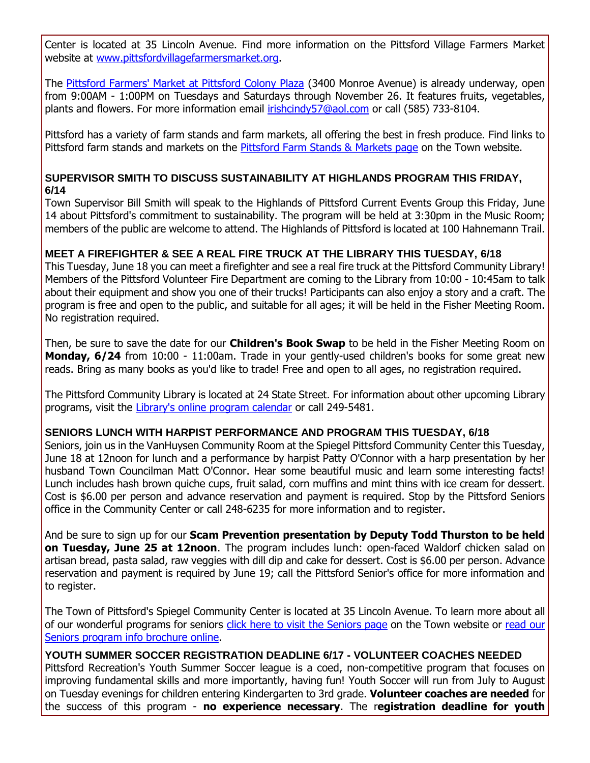Center is located at 35 Lincoln Avenue. Find more information on the Pittsford Village Farmers Market website at [www.pittsfordvillagefarmersmarket.org.](http://r20.rs6.net/tn.jsp?f=001GkOr6A0T9GGVqzJN0tzfRIgV6PjY0HKUEZLoYEADd9LMuAY8vhM8T1pKqL8sTdysAL8jWoF1A7jIKbWHMLAoUUjp54AqT0Fmw4p5KjblgpMNUbLSoUDuF71YyMJzAQ469SuwPY90s8GA27qm2vFgZ_6KPoNCfQc72oNeFcQDKrzWWAIlN4i_fdSorRUlTjuD9i13B7CYI40f2zlsiKZ0EiBpU_ct26nS2LlccXEAkKk7jPqCfmWZNH4ptiraBOGXVBU7D-NIiRWfCQBQ4ItDTmmG_KQNy3AjwplT_6EKj9ZxUdAJ2dDBvpfXJLTZlcUE&c=S40nt5wRRkwORZ6OnX3oCxuLgo81xZ5cSEZ0-LIjSiZN5M9l6u8RPQ==&ch=wY8Cs-ZIEVdEqOA9pvi2VyHaLvoZHFGzuiqjvAX4_gtDY_GfJZaPhA==)

The [Pittsford Farmers' Market at Pittsford Colony Plaza](http://r20.rs6.net/tn.jsp?f=001GkOr6A0T9GGVqzJN0tzfRIgV6PjY0HKUEZLoYEADd9LMuAY8vhM8T9NUnIS3z9l4LapAae1Ov64eNFn9LvgA4-cGY2aASnNOiIJOo8ihAN7f7B2Fzin0xEhFIDE-tDrWfewky69fVi5ECzWWD6N_RwWu0LshaROWWs35hPX7MizxzvjUDl0HziloDHYaFIh8xxB9jDdsYAc=&c=S40nt5wRRkwORZ6OnX3oCxuLgo81xZ5cSEZ0-LIjSiZN5M9l6u8RPQ==&ch=wY8Cs-ZIEVdEqOA9pvi2VyHaLvoZHFGzuiqjvAX4_gtDY_GfJZaPhA==) (3400 Monroe Avenue) is already underway, open from 9:00AM - 1:00PM on Tuesdays and Saturdays through November 26. It features fruits, vegetables, plants and flowers. For more information email [irishcindy57@aol.com](mailto:irishcindy57@aol.com?subject=Pittsford%20Farmers) or call (585) 733-8104.

Pittsford has a variety of farm stands and farm markets, all offering the best in fresh produce. Find links to Pittsford farm stands and markets on the [Pittsford Farm Stands &](http://r20.rs6.net/tn.jsp?f=001GkOr6A0T9GGVqzJN0tzfRIgV6PjY0HKUEZLoYEADd9LMuAY8vhM8T1pKqL8sTdyst1e9rfGfhK95jnA_VJsyGrUzdyRF3dkCElwhozQ0ovBr8WSW_mCxU8y_S3Fo44BZ_92qbxnlHSa5rn8XhpnCIxCAwsTtXwTCdPNB-98nizMTycpIWUjViZ372LqnJ9q4T8KuxjhAFkYa9-9zLVWYs2VZEvnbkAq_vEOIh8OgxP6-8DIuCBtLLcjCX1fDcn9aEtxtuJuP_XSXTagF7D1e3QYtNZaof2aBhyZ5BhVaoAAV1zlrDy6ytQ==&c=S40nt5wRRkwORZ6OnX3oCxuLgo81xZ5cSEZ0-LIjSiZN5M9l6u8RPQ==&ch=wY8Cs-ZIEVdEqOA9pvi2VyHaLvoZHFGzuiqjvAX4_gtDY_GfJZaPhA==) Markets page on the Town website.

#### **SUPERVISOR SMITH TO DISCUSS SUSTAINABILITY AT HIGHLANDS PROGRAM THIS FRIDAY, 6/14**

Town Supervisor Bill Smith will speak to the Highlands of Pittsford Current Events Group this Friday, June 14 about Pittsford's commitment to sustainability. The program will be held at 3:30pm in the Music Room; members of the public are welcome to attend. The Highlands of Pittsford is located at 100 Hahnemann Trail.

#### **MEET A FIREFIGHTER & SEE A REAL FIRE TRUCK AT THE LIBRARY THIS TUESDAY, 6/18**

This Tuesday, June 18 you can meet a firefighter and see a real fire truck at the Pittsford Community Library! Members of the Pittsford Volunteer Fire Department are coming to the Library from 10:00 - 10:45am to talk about their equipment and show you one of their trucks! Participants can also enjoy a story and a craft. The program is free and open to the public, and suitable for all ages; it will be held in the Fisher Meeting Room. No registration required.

Then, be sure to save the date for our **Children's Book Swap** to be held in the Fisher Meeting Room on **Monday, 6/24** from 10:00 - 11:00am. Trade in your gently-used children's books for some great new reads. Bring as many books as you'd like to trade! Free and open to all ages, no registration required.

The Pittsford Community Library is located at 24 State Street. For information about other upcoming Library programs, visit the [Library's online program calendar](http://r20.rs6.net/tn.jsp?f=001GkOr6A0T9GGVqzJN0tzfRIgV6PjY0HKUEZLoYEADd9LMuAY8vhM8T1PsOU7cJwAJBbbWZj-0pUei-HoMDHW5YXB6MLGtbnJXn6bx1t6XKJi820uqUsVMeI9gQqS7BOglJA0jYAaeWF-ZVcUpGOXAbwpcFKEOebVqOq0L3HW3Ks36xBIoIz5xJBXGSNPiN7CcLq5RRJWQN-wDPFmN4CZVXqaMXZUb3r3zUEwqVbS_YEkh_HPp29Ep5Gpe4MfrXHX2kU-ejh4aajMT2BGGaIQxoNToOECug2nhC1qawYM_YEQVOPNsSL0_O5t-HIYYnHTWYSVxnNpDQp76Xl1URJX2YsZZ7VargsL1eEcPtmG6M4BF1vgyGjESopudHb81wDeRnZuaID3kxyfUtBh1pVNm20Mwrxlm7Ql1&c=S40nt5wRRkwORZ6OnX3oCxuLgo81xZ5cSEZ0-LIjSiZN5M9l6u8RPQ==&ch=wY8Cs-ZIEVdEqOA9pvi2VyHaLvoZHFGzuiqjvAX4_gtDY_GfJZaPhA==) or call 249-5481.

#### **SENIORS LUNCH WITH HARPIST PERFORMANCE AND PROGRAM THIS TUESDAY, 6/18**

Seniors, join us in the VanHuysen Community Room at the Spiegel Pittsford Community Center this Tuesday, June 18 at 12noon for lunch and a performance by harpist Patty O'Connor with a harp presentation by her husband Town Councilman Matt O'Connor. Hear some beautiful music and learn some interesting facts! Lunch includes hash brown quiche cups, fruit salad, corn muffins and mint thins with ice cream for dessert. Cost is \$6.00 per person and advance reservation and payment is required. Stop by the Pittsford Seniors office in the Community Center or call 248-6235 for more information and to register.

And be sure to sign up for our **Scam Prevention presentation by Deputy Todd Thurston to be held on Tuesday, June 25 at 12noon**. The program includes lunch: open-faced Waldorf chicken salad on artisan bread, pasta salad, raw veggies with dill dip and cake for dessert. Cost is \$6.00 per person. Advance reservation and payment is required by June 19; call the Pittsford Senior's office for more information and to register.

The Town of Pittsford's Spiegel Community Center is located at 35 Lincoln Avenue. To learn more about all of our wonderful programs for seniors [click here to visit the Seniors page](http://r20.rs6.net/tn.jsp?f=001GkOr6A0T9GGVqzJN0tzfRIgV6PjY0HKUEZLoYEADd9LMuAY8vhM8TyKZDUuFgtB1-eRKWYdodDJwW4JOT25qoWE1BQ8PPKwqYhk0UeEmXAHwln0qCvgBb9GcIkr50sUuT5KbVgHqwijxVaGaJb7PEcwYMpniKo1KEFBQbH7cZfkxU92AZp2BLR-gzZJoh0yOBr_GDleLJtrBuEZR0mzh9sMI_iAmT8oc99vW5KgjPmUzQy7uoQxpcNh5CG3hN2PpRyfaOxy-yTV0IH3_W-b3-3KkQFG-C88yBb6LvoB6FRBNSt_bs1TNHQb4HTeVnd62&c=S40nt5wRRkwORZ6OnX3oCxuLgo81xZ5cSEZ0-LIjSiZN5M9l6u8RPQ==&ch=wY8Cs-ZIEVdEqOA9pvi2VyHaLvoZHFGzuiqjvAX4_gtDY_GfJZaPhA==) on the Town website or [read our](http://r20.rs6.net/tn.jsp?f=001GkOr6A0T9GGVqzJN0tzfRIgV6PjY0HKUEZLoYEADd9LMuAY8vhM8T2ecMMxQg8xwJkX8QVbtANN01YGyf5SdaulPylhLP4aVXF0aIQj_YeUHxgVLEdM8yk6-ggHbOdDcNd9w1mcrlcwTPUGAMPrMMH9rUGzzBN-df3iTDDO5mmQ-AEoHkaIMUJatQCzGz-5-xVJpUfTgMqGLZo4fxnbmtUp3NWnoMDjQrUkXVHPVIxYmei73QcD4VP1AoksPWfQD7VQkYLIvaD70NUL34rRpvf8DgDhY8bf2qdN_he-J9oyA58sV9b0m1SIrzds_uhafzFk0QLMkm9CaYvfooj2j4Em7GH2-r7Xi-V7K8DKONL1sF7O08f9G5A==&c=S40nt5wRRkwORZ6OnX3oCxuLgo81xZ5cSEZ0-LIjSiZN5M9l6u8RPQ==&ch=wY8Cs-ZIEVdEqOA9pvi2VyHaLvoZHFGzuiqjvAX4_gtDY_GfJZaPhA==)  [Seniors program info brochure online.](http://r20.rs6.net/tn.jsp?f=001GkOr6A0T9GGVqzJN0tzfRIgV6PjY0HKUEZLoYEADd9LMuAY8vhM8T2ecMMxQg8xwJkX8QVbtANN01YGyf5SdaulPylhLP4aVXF0aIQj_YeUHxgVLEdM8yk6-ggHbOdDcNd9w1mcrlcwTPUGAMPrMMH9rUGzzBN-df3iTDDO5mmQ-AEoHkaIMUJatQCzGz-5-xVJpUfTgMqGLZo4fxnbmtUp3NWnoMDjQrUkXVHPVIxYmei73QcD4VP1AoksPWfQD7VQkYLIvaD70NUL34rRpvf8DgDhY8bf2qdN_he-J9oyA58sV9b0m1SIrzds_uhafzFk0QLMkm9CaYvfooj2j4Em7GH2-r7Xi-V7K8DKONL1sF7O08f9G5A==&c=S40nt5wRRkwORZ6OnX3oCxuLgo81xZ5cSEZ0-LIjSiZN5M9l6u8RPQ==&ch=wY8Cs-ZIEVdEqOA9pvi2VyHaLvoZHFGzuiqjvAX4_gtDY_GfJZaPhA==)

**YOUTH SUMMER SOCCER REGISTRATION DEADLINE 6/17 - VOLUNTEER COACHES NEEDED** Pittsford Recreation's Youth Summer Soccer league is a coed, non-competitive program that focuses on improving fundamental skills and more importantly, having fun! Youth Soccer will run from July to August on Tuesday evenings for children entering Kindergarten to 3rd grade. **Volunteer coaches are needed** for the success of this program - **no experience necessary**. The r**egistration deadline for youth**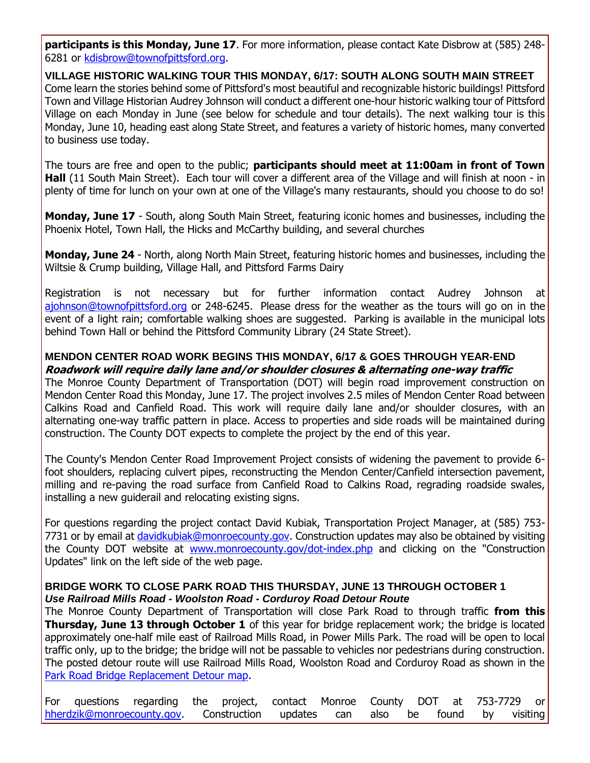**participants is this Monday, June 17**. For more information, please contact Kate Disbrow at (585) 248- 6281 or [kdisbrow@townofpittsford.org.](mailto:kdisbrow@townofpittsford.org)

**VILLAGE HISTORIC WALKING TOUR THIS MONDAY, 6/17: SOUTH ALONG SOUTH MAIN STREET** Come learn the stories behind some of Pittsford's most beautiful and recognizable historic buildings! Pittsford Town and Village Historian Audrey Johnson will conduct a different one-hour historic walking tour of Pittsford Village on each Monday in June (see below for schedule and tour details). The next walking tour is this Monday, June 10, heading east along State Street, and features a variety of historic homes, many converted to business use today.

The tours are free and open to the public; **participants should meet at 11:00am in front of Town Hall** (11 South Main Street). Each tour will cover a different area of the Village and will finish at noon - in plenty of time for lunch on your own at one of the Village's many restaurants, should you choose to do so!

**Monday, June 17** - South, along South Main Street, featuring iconic homes and businesses, including the Phoenix Hotel, Town Hall, the Hicks and McCarthy building, and several churches

**Monday, June 24** - North, along North Main Street, featuring historic homes and businesses, including the Wiltsie & Crump building, Village Hall, and Pittsford Farms Dairy

Registration is not necessary but for further information contact Audrey Johnson at [ajohnson@townofpittsford.org](mailto:ajohnson@townofpittsford.org?subject=Village%20Walking%20Tours%202019) or 248-6245. Please dress for the weather as the tours will go on in the event of a light rain; comfortable walking shoes are suggested. Parking is available in the municipal lots behind Town Hall or behind the Pittsford Community Library (24 State Street).

#### **MENDON CENTER ROAD WORK BEGINS THIS MONDAY, 6/17 & GOES THROUGH YEAR-END Roadwork will require daily lane and/or shoulder closures & alternating one-way traffic**

The Monroe County Department of Transportation (DOT) will begin road improvement construction on Mendon Center Road this Monday, June 17. The project involves 2.5 miles of Mendon Center Road between Calkins Road and Canfield Road. This work will require daily lane and/or shoulder closures, with an alternating one-way traffic pattern in place. Access to properties and side roads will be maintained during construction. The County DOT expects to complete the project by the end of this year.

The County's Mendon Center Road Improvement Project consists of widening the pavement to provide 6 foot shoulders, replacing culvert pipes, reconstructing the Mendon Center/Canfield intersection pavement, milling and re-paving the road surface from Canfield Road to Calkins Road, regrading roadside swales, installing a new guiderail and relocating existing signs.

For questions regarding the project contact David Kubiak, Transportation Project Manager, at (585) 753 7731 or by email at [davidkubiak@monroecounty.gov.](mailto:davidkubiak@monroecounty.gov?subject=Mendon%20Center%20Road%20Improvement%20Project) Construction updates may also be obtained by visiting the County DOT website at [www.monroecounty.gov/dot-index.php](http://r20.rs6.net/tn.jsp?f=001GkOr6A0T9GGVqzJN0tzfRIgV6PjY0HKUEZLoYEADd9LMuAY8vhM8T7cXw-ZZQZ-S_h7ZRsDSrzI-NXu94kiF8hoGnZUOS01a2r0_IzylihkFGNgtdIchnso6TqTcDGKvnVp_Gvx8ZqPNUktspJMH1IUiDM87uKPybgwcrd87JIiGBv8dHgfXXkunvjZMC6mOSz0AfWXm7RKnLLRtqyWmZuH5frJLNvTrLhks_trpsheCGrxClHrXwCg-mT7wXNLrA2tT_i4R22wviG-mf842bwGgE3tH77v4Nhi3FV-ptfcC7JpvaIUyZw==&c=S40nt5wRRkwORZ6OnX3oCxuLgo81xZ5cSEZ0-LIjSiZN5M9l6u8RPQ==&ch=wY8Cs-ZIEVdEqOA9pvi2VyHaLvoZHFGzuiqjvAX4_gtDY_GfJZaPhA==) and clicking on the "Construction Updates" link on the left side of the web page.

#### **BRIDGE WORK TO CLOSE PARK ROAD THIS THURSDAY, JUNE 13 THROUGH OCTOBER 1** *Use Railroad Mills Road - Woolston Road - Corduroy Road Detour Route*

The Monroe County Department of Transportation will close Park Road to through traffic **from this Thursday, June 13 through October 1** of this year for bridge replacement work; the bridge is located approximately one-half mile east of Railroad Mills Road, in Power Mills Park. The road will be open to local traffic only, up to the bridge; the bridge will not be passable to vehicles nor pedestrians during construction. The posted detour route will use Railroad Mills Road, Woolston Road and Corduroy Road as shown in the [Park Road Bridge Replacement Detour map.](http://r20.rs6.net/tn.jsp?f=001GkOr6A0T9GGVqzJN0tzfRIgV6PjY0HKUEZLoYEADd9LMuAY8vhM8T7M8eprQ2qi2QFAj2UqQgZ-aKMWlMNEgg58LT8dcKZZgYJjdi9ibHrpGvNvyhz9INl4qpdEa-QCpTLWDcVnmtW6BOBlg349tFHfxPR4AbHgkMFMZ0hfbAZEq_Huy0U7doc1WihTY9WYylliBvcVLpDBmd_LbfZuMNe-GP1wE72iky1sDWNJ67WyWn3Q2TM-MDbku8HQoqbS-G-SBK_Y80P1aRHNXyczm-f2uWox25rF8SM14eT97KZpbx9UB3T5XFdji471SwfCb4scuMuBZ8FTAwp4O5_Z681ItR9CxInTdnCDXW6P8mZ6ru0bFM_AkQw==&c=S40nt5wRRkwORZ6OnX3oCxuLgo81xZ5cSEZ0-LIjSiZN5M9l6u8RPQ==&ch=wY8Cs-ZIEVdEqOA9pvi2VyHaLvoZHFGzuiqjvAX4_gtDY_GfJZaPhA==)

|  | For questions regarding the project, contact Monroe County DOT at 753-7729 or |  |  |  |  |  |
|--|-------------------------------------------------------------------------------|--|--|--|--|--|
|  | hherdzik@monroecounty.gov. Construction updates can also be found by visiting |  |  |  |  |  |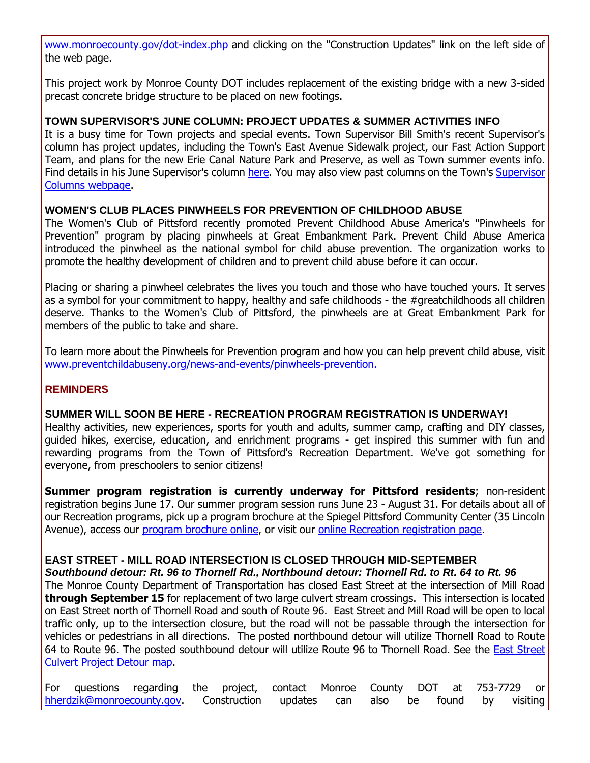[www.monroecounty.gov/dot-index.php](http://r20.rs6.net/tn.jsp?f=001GkOr6A0T9GGVqzJN0tzfRIgV6PjY0HKUEZLoYEADd9LMuAY8vhM8T7cXw-ZZQZ-S_h7ZRsDSrzI-NXu94kiF8hoGnZUOS01a2r0_IzylihkFGNgtdIchnso6TqTcDGKvnVp_Gvx8ZqPNUktspJMH1IUiDM87uKPybgwcrd87JIiGBv8dHgfXXkunvjZMC6mOSz0AfWXm7RKnLLRtqyWmZuH5frJLNvTrLhks_trpsheCGrxClHrXwCg-mT7wXNLrA2tT_i4R22wviG-mf842bwGgE3tH77v4Nhi3FV-ptfcC7JpvaIUyZw==&c=S40nt5wRRkwORZ6OnX3oCxuLgo81xZ5cSEZ0-LIjSiZN5M9l6u8RPQ==&ch=wY8Cs-ZIEVdEqOA9pvi2VyHaLvoZHFGzuiqjvAX4_gtDY_GfJZaPhA==) and clicking on the "Construction Updates" link on the left side of the web page.

This project work by Monroe County DOT includes replacement of the existing bridge with a new 3-sided precast concrete bridge structure to be placed on new footings.

#### **TOWN SUPERVISOR'S JUNE COLUMN: PROJECT UPDATES & SUMMER ACTIVITIES INFO**

It is a busy time for Town projects and special events. Town Supervisor Bill Smith's recent Supervisor's column has project updates, including the Town's East Avenue Sidewalk project, our Fast Action Support Team, and plans for the new Erie Canal Nature Park and Preserve, as well as Town summer events info. Find details in his June Supervisor's column [here.](http://r20.rs6.net/tn.jsp?f=001GkOr6A0T9GGVqzJN0tzfRIgV6PjY0HKUEZLoYEADd9LMuAY8vhM8T2rkcog40rGmKWHdgpRUx5isvJvrajwcyELgkVaVwUGktlExUMqxr3wn0InvXJfogl4hriLM8dtoWJnrhwSehLOyvvM7EIsOBqQAvmSYsoBU32Nvgq4dqxP4tBELgotDE7OOrwGicb1PwoyTjE_oMCYYCm4WZQfnQeTkxX8ip_FyWYHuFsX5LZEVifGTVoJgzVpwwAcj1pvPARhW1Jjlv9x7H0qxx5jGv5tVd2ezksjVIAB_Y1KIB7635VA-NZu2eKeZ_O7pty4BEPLwFEeHh707m-SXo0Lgnh28bszvj6ZUr2hlMYxQuMeID2tzLxgE-GTu9Vrd4jiiMAtPxNXwdzNqArlgRhQDvKineQTwZbIbVC-LCvsCwuF-fvPoHFoHoA==&c=S40nt5wRRkwORZ6OnX3oCxuLgo81xZ5cSEZ0-LIjSiZN5M9l6u8RPQ==&ch=wY8Cs-ZIEVdEqOA9pvi2VyHaLvoZHFGzuiqjvAX4_gtDY_GfJZaPhA==) You may also view past columns on the Town's [Supervisor](http://r20.rs6.net/tn.jsp?f=001GkOr6A0T9GGVqzJN0tzfRIgV6PjY0HKUEZLoYEADd9LMuAY8vhM8T5FcCU03-KHHLgHujI2Jig9g5mDTu7KksRnaxxDAsvEgh0x1BBQjJhAhXdit_a4HXtsRHtrb9u7q8VLMj3vzdgRV1H7p2UiKca_mq5umzuJ-pkyf92H8cluEuTmsZHaiM3rjql343eLEMgIOuYUBxQD46uMtLJ38t_DgEPjsqwzoE8EHIdQEY0vRShDh_1oYX_cxtQrDkL5hM44yFNRWf4D9bJ_S9GcPbFDbiaCXoSefyjloiZrrtoalvb-Fy4Pq05cjn3b9sGF8&c=S40nt5wRRkwORZ6OnX3oCxuLgo81xZ5cSEZ0-LIjSiZN5M9l6u8RPQ==&ch=wY8Cs-ZIEVdEqOA9pvi2VyHaLvoZHFGzuiqjvAX4_gtDY_GfJZaPhA==)  [Columns webpage.](http://r20.rs6.net/tn.jsp?f=001GkOr6A0T9GGVqzJN0tzfRIgV6PjY0HKUEZLoYEADd9LMuAY8vhM8T5FcCU03-KHHLgHujI2Jig9g5mDTu7KksRnaxxDAsvEgh0x1BBQjJhAhXdit_a4HXtsRHtrb9u7q8VLMj3vzdgRV1H7p2UiKca_mq5umzuJ-pkyf92H8cluEuTmsZHaiM3rjql343eLEMgIOuYUBxQD46uMtLJ38t_DgEPjsqwzoE8EHIdQEY0vRShDh_1oYX_cxtQrDkL5hM44yFNRWf4D9bJ_S9GcPbFDbiaCXoSefyjloiZrrtoalvb-Fy4Pq05cjn3b9sGF8&c=S40nt5wRRkwORZ6OnX3oCxuLgo81xZ5cSEZ0-LIjSiZN5M9l6u8RPQ==&ch=wY8Cs-ZIEVdEqOA9pvi2VyHaLvoZHFGzuiqjvAX4_gtDY_GfJZaPhA==)

#### **WOMEN'S CLUB PLACES PINWHEELS FOR PREVENTION OF CHILDHOOD ABUSE**

The Women's Club of Pittsford recently promoted Prevent Childhood Abuse America's "Pinwheels for Prevention" program by placing pinwheels at Great Embankment Park. Prevent Child Abuse America introduced the pinwheel as the national symbol for child abuse prevention. The organization works to promote the healthy development of children and to prevent child abuse before it can occur.

Placing or sharing a pinwheel celebrates the lives you touch and those who have touched yours. It serves as a symbol for your commitment to happy, healthy and safe childhoods - the #greatchildhoods all children deserve. Thanks to the Women's Club of Pittsford, the pinwheels are at Great Embankment Park for members of the public to take and share.

To learn more about the Pinwheels for Prevention program and how you can help prevent child abuse, visit [www.preventchildabuseny.org/news-and-events/pinwheels-prevention.](http://r20.rs6.net/tn.jsp?f=001GkOr6A0T9GGVqzJN0tzfRIgV6PjY0HKUEZLoYEADd9LMuAY8vhM8T2rkcog40rGmwbOGD-8FbeDVcv5Yrkiiss32jEif0j_MAwDozkogAcLD5ft2alLJLkO75XtVLtuhE1VulmvEuwKttCK87fTb8ygFk2-4UPi3GE-ttTd6etWdnWFC-PTGNg6skb9TujHxe36z2SAfxDAGu92NSUoudyvgSjOtZiaoQmM-KFpfkBcnt0DkijIbrGCi2oEVQvrIhELmnsBZ-23P3VVBgC84Ri_mDY5uthT_3TgEQee9i00lQhR8hDFBTFaKlv2D7FDmhOYJge11EIOPliI2o6ERLX2aP8_pvEVI&c=S40nt5wRRkwORZ6OnX3oCxuLgo81xZ5cSEZ0-LIjSiZN5M9l6u8RPQ==&ch=wY8Cs-ZIEVdEqOA9pvi2VyHaLvoZHFGzuiqjvAX4_gtDY_GfJZaPhA==)

#### **REMINDERS**

#### **SUMMER WILL SOON BE HERE - RECREATION PROGRAM REGISTRATION IS UNDERWAY!**

Healthy activities, new experiences, sports for youth and adults, summer camp, crafting and DIY classes, guided hikes, exercise, education, and enrichment programs - get inspired this summer with fun and rewarding programs from the Town of Pittsford's Recreation Department. We've got something for everyone, from preschoolers to senior citizens!

**Summer program registration is currently underway for Pittsford residents**; non-resident registration begins June 17. Our summer program session runs June 23 - August 31. For details about all of our Recreation programs, pick up a program brochure at the Spiegel Pittsford Community Center (35 Lincoln Avenue), access our [program brochure online,](http://r20.rs6.net/tn.jsp?f=001GkOr6A0T9GGVqzJN0tzfRIgV6PjY0HKUEZLoYEADd9LMuAY8vhM8T-y1AHkYRW1dmINX3gd6Bu5x2o9p1h8_zgug7oj2Je4mIW7Fgfb9AcY4ToCqJ3Htx8uBZffNdNI_iZNJfyZXI_4OiMcmh-E6JTcn3k3PSYNpMsl7SWzuias0FuzpU97vWaJK3nANz6W6n3RE8gMwxmCyVk4Lx2Iv7Mt3Cvw3Wp3m3E8wS_tCjTpzPckaKV-YDh1ACAhzqAw0B7J37XZISmym54ZnsTBnyu2HPkRIpms1ooiHIkVP_66p2AhPuZOBVCNfUnMUHL1wyxtn9hoS_rtILkzU_ACWjg==&c=S40nt5wRRkwORZ6OnX3oCxuLgo81xZ5cSEZ0-LIjSiZN5M9l6u8RPQ==&ch=wY8Cs-ZIEVdEqOA9pvi2VyHaLvoZHFGzuiqjvAX4_gtDY_GfJZaPhA==) or visit our [online Recreation registration page.](http://r20.rs6.net/tn.jsp?f=001GkOr6A0T9GGVqzJN0tzfRIgV6PjY0HKUEZLoYEADd9LMuAY8vhM8T5FcCU03-KHHkvA4meCvWS12ljO_Dpe_N2Dw3URPPELnly6fbDr9aMN-9y8dNDY-_FgxIHVnnVqleVbEaM2HpK6yzJw4tBKGr1vsKr8-MpxsGIfCzeOF3Bap2HV1svs5aDhgKG_qdqDM6zH6QjNEG_KEExpxxAR8bGuwtqgdpp7MnHmvFqAttFz1kRf00EOwhB4HVKO1W5dgrlghsOHmj_dGUbRp4anitykOdkHAkduZkyeuss6MLGfiLp7ax9YZXfU0BxBfM1BhyPk0y61QwfCm3aD1OWthYgPPKo2sqZx9&c=S40nt5wRRkwORZ6OnX3oCxuLgo81xZ5cSEZ0-LIjSiZN5M9l6u8RPQ==&ch=wY8Cs-ZIEVdEqOA9pvi2VyHaLvoZHFGzuiqjvAX4_gtDY_GfJZaPhA==)

#### **EAST STREET - MILL ROAD INTERSECTION IS CLOSED THROUGH MID-SEPTEMBER**

*Southbound detour: Rt. 96 to Thornell Rd., Northbound detour: Thornell Rd. to Rt. 64 to Rt. 96* The Monroe County Department of Transportation has closed East Street at the intersection of Mill Road **through September 15** for replacement of two large culvert stream crossings. This intersection is located on East Street north of Thornell Road and south of Route 96. East Street and Mill Road will be open to local traffic only, up to the intersection closure, but the road will not be passable through the intersection for vehicles or pedestrians in all directions. The posted northbound detour will utilize Thornell Road to Route 64 to Route 96. The posted southbound detour will utilize Route 96 to Thornell Road. See the [East Street](http://r20.rs6.net/tn.jsp?f=001GkOr6A0T9GGVqzJN0tzfRIgV6PjY0HKUEZLoYEADd9LMuAY8vhM8T7M8eprQ2qi26xvlZMEg9k8MxoWlxyW-lzzkT8Rg0nMO4RHjaYSpHKmvx8PrvlZQugOluM_2Bv1GYYzq9dxDED-9SoLhU0ON1MMyrkDeiQWYXcP5o2mxgrLTH-ELNeaIcBt9Opt6N5_OsWBKor37fPmJyQY-UqPNd5H62HhmGS1W5okXUqX0CSDp5E6i3HjERTn6mBfvpAiza1WpnXVxxdzGiYLoVjzeNB66zmu0tY4ugsSZmmDY5kjRaB1f9uRv6okJ3KqUu5pByKkAisNz5lrJAo0ZkoeieLjtX2VvUrIXafb0Px3Cq1AWjLtXEV5NrQ==&c=S40nt5wRRkwORZ6OnX3oCxuLgo81xZ5cSEZ0-LIjSiZN5M9l6u8RPQ==&ch=wY8Cs-ZIEVdEqOA9pvi2VyHaLvoZHFGzuiqjvAX4_gtDY_GfJZaPhA==)  [Culvert Project Detour map.](http://r20.rs6.net/tn.jsp?f=001GkOr6A0T9GGVqzJN0tzfRIgV6PjY0HKUEZLoYEADd9LMuAY8vhM8T7M8eprQ2qi26xvlZMEg9k8MxoWlxyW-lzzkT8Rg0nMO4RHjaYSpHKmvx8PrvlZQugOluM_2Bv1GYYzq9dxDED-9SoLhU0ON1MMyrkDeiQWYXcP5o2mxgrLTH-ELNeaIcBt9Opt6N5_OsWBKor37fPmJyQY-UqPNd5H62HhmGS1W5okXUqX0CSDp5E6i3HjERTn6mBfvpAiza1WpnXVxxdzGiYLoVjzeNB66zmu0tY4ugsSZmmDY5kjRaB1f9uRv6okJ3KqUu5pByKkAisNz5lrJAo0ZkoeieLjtX2VvUrIXafb0Px3Cq1AWjLtXEV5NrQ==&c=S40nt5wRRkwORZ6OnX3oCxuLgo81xZ5cSEZ0-LIjSiZN5M9l6u8RPQ==&ch=wY8Cs-ZIEVdEqOA9pvi2VyHaLvoZHFGzuiqjvAX4_gtDY_GfJZaPhA==)

|  | For questions regarding the project, contact Monroe County DOT at 753-7729 or |  |  |  |  |  |
|--|-------------------------------------------------------------------------------|--|--|--|--|--|
|  | hherdzik@monroecounty.gov. Construction updates can also be found by visiting |  |  |  |  |  |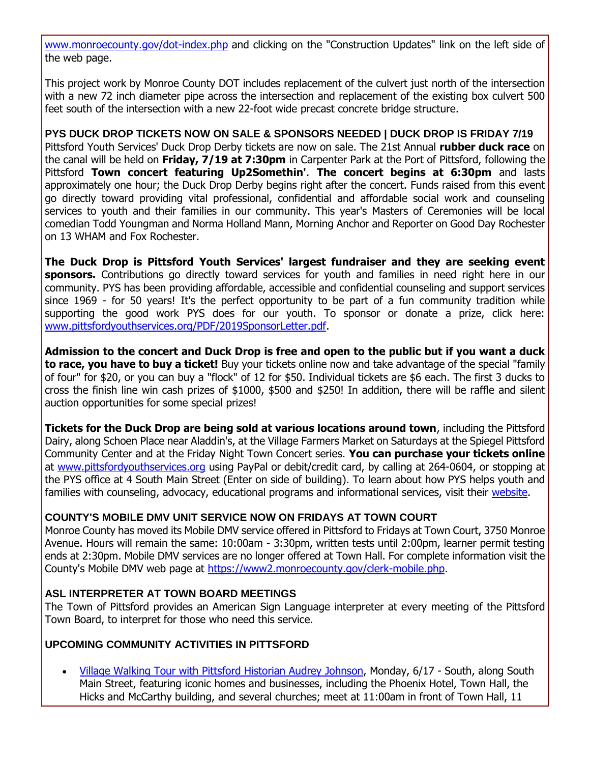[www.monroecounty.gov/dot-index.php](http://r20.rs6.net/tn.jsp?f=001GkOr6A0T9GGVqzJN0tzfRIgV6PjY0HKUEZLoYEADd9LMuAY8vhM8T7cXw-ZZQZ-S_h7ZRsDSrzI-NXu94kiF8hoGnZUOS01a2r0_IzylihkFGNgtdIchnso6TqTcDGKvnVp_Gvx8ZqPNUktspJMH1IUiDM87uKPybgwcrd87JIiGBv8dHgfXXkunvjZMC6mOSz0AfWXm7RKnLLRtqyWmZuH5frJLNvTrLhks_trpsheCGrxClHrXwCg-mT7wXNLrA2tT_i4R22wviG-mf842bwGgE3tH77v4Nhi3FV-ptfcC7JpvaIUyZw==&c=S40nt5wRRkwORZ6OnX3oCxuLgo81xZ5cSEZ0-LIjSiZN5M9l6u8RPQ==&ch=wY8Cs-ZIEVdEqOA9pvi2VyHaLvoZHFGzuiqjvAX4_gtDY_GfJZaPhA==) and clicking on the "Construction Updates" link on the left side of the web page.

This project work by Monroe County DOT includes replacement of the culvert just north of the intersection with a new 72 inch diameter pipe across the intersection and replacement of the existing box culvert 500 feet south of the intersection with a new 22-foot wide precast concrete bridge structure.

#### **PYS DUCK DROP TICKETS NOW ON SALE & SPONSORS NEEDED | DUCK DROP IS FRIDAY 7/19**

Pittsford Youth Services' Duck Drop Derby tickets are now on sale. The 21st Annual **rubber duck race** on the canal will be held on **Friday, 7/19 at 7:30pm** in Carpenter Park at the Port of Pittsford, following the Pittsford **Town concert featuring Up2Somethin'**. **The concert begins at 6:30pm** and lasts approximately one hour; the Duck Drop Derby begins right after the concert. Funds raised from this event go directly toward providing vital professional, confidential and affordable social work and counseling services to youth and their families in our community. This year's Masters of Ceremonies will be local comedian Todd Youngman and Norma Holland Mann, Morning Anchor and Reporter on Good Day Rochester on 13 WHAM and Fox Rochester.

**The Duck Drop is Pittsford Youth Services' largest fundraiser and they are seeking event sponsors.** Contributions go directly toward services for youth and families in need right here in our community. PYS has been providing affordable, accessible and confidential counseling and support services since 1969 - for 50 years! It's the perfect opportunity to be part of a fun community tradition while supporting the good work PYS does for our youth. To sponsor or donate a prize, click here: [www.pittsfordyouthservices.org/PDF/2019SponsorLetter.pdf.](http://r20.rs6.net/tn.jsp?f=001GkOr6A0T9GGVqzJN0tzfRIgV6PjY0HKUEZLoYEADd9LMuAY8vhM8T7M8eprQ2qi2YJn1mjUnXmqIk29p9a7UaQuO1i-QZTCQMXllifrNPr-1BzmgGbEm_-vlpmplOBa5jV1uQsy_Bun5hn6JOCE30E7mZ1tfGGcqt9LLJxpWZH0eklNvw2FEJnalzaRFAvfQtmQ77atfkLzBo7b9cmW7NjUOHxouVboDixb6N-jMyyebACSgWWWA2kkGcYJlpkqvPbiho8f_zG36NIeA8AckHU2zOE_oShsz_eIG1-zZDq6p-khhSDis0QxzGvzme0lDDEaZ6wvW7q1jvwtwa4zRIQ==&c=S40nt5wRRkwORZ6OnX3oCxuLgo81xZ5cSEZ0-LIjSiZN5M9l6u8RPQ==&ch=wY8Cs-ZIEVdEqOA9pvi2VyHaLvoZHFGzuiqjvAX4_gtDY_GfJZaPhA==)

**Admission to the concert and Duck Drop is free and open to the public but if you want a duck to race, you have to buy a ticket!** Buy your tickets online now and take advantage of the special "family of four" for \$20, or you can buy a "flock" of 12 for \$50. Individual tickets are \$6 each. The first 3 ducks to cross the finish line win cash prizes of \$1000, \$500 and \$250! In addition, there will be raffle and silent auction opportunities for some special prizes!

**Tickets for the Duck Drop are being sold at various locations around town**, including the Pittsford Dairy, along Schoen Place near Aladdin's, at the Village Farmers Market on Saturdays at the Spiegel Pittsford Community Center and at the Friday Night Town Concert series. **You can purchase your tickets online** at [www.pittsfordyouthservices.org](http://r20.rs6.net/tn.jsp?f=001GkOr6A0T9GGVqzJN0tzfRIgV6PjY0HKUEZLoYEADd9LMuAY8vhM8T53k3feXPLP_S5DRSpdW0rsE_AN79O1ghVn5v8BMLvxt5MQ9JEri2wwNIuWQNlYyexAVCMkxdf-wTZQiCMusXb1R_ruMWP67jcKm86Ovkkwxju81IzGyXrsCENRIFJk_LdyMQo8xUhLdXBEe83ShyHrHN1lQdZSdUEicZN3l5kV8ogN4f-BQ32AfZ3U0Gcfdl6UVRcCA2hXRAnnhJjjiOcklk6ltOYdw8mGQytvgpYx-OlAhMC3YKVDJt5OIPhIrIw==&c=S40nt5wRRkwORZ6OnX3oCxuLgo81xZ5cSEZ0-LIjSiZN5M9l6u8RPQ==&ch=wY8Cs-ZIEVdEqOA9pvi2VyHaLvoZHFGzuiqjvAX4_gtDY_GfJZaPhA==) using PayPal or debit/credit card, by calling at 264-0604, or stopping at the PYS office at 4 South Main Street (Enter on side of building). To learn about how PYS helps youth and families with counseling, advocacy, educational programs and informational services, visit their [website.](http://r20.rs6.net/tn.jsp?f=001GkOr6A0T9GGVqzJN0tzfRIgV6PjY0HKUEZLoYEADd9LMuAY8vhM8T53k3feXPLP_S5DRSpdW0rsE_AN79O1ghVn5v8BMLvxt5MQ9JEri2wwNIuWQNlYyexAVCMkxdf-wTZQiCMusXb1R_ruMWP67jcKm86Ovkkwxju81IzGyXrsCENRIFJk_LdyMQo8xUhLdXBEe83ShyHrHN1lQdZSdUEicZN3l5kV8ogN4f-BQ32AfZ3U0Gcfdl6UVRcCA2hXRAnnhJjjiOcklk6ltOYdw8mGQytvgpYx-OlAhMC3YKVDJt5OIPhIrIw==&c=S40nt5wRRkwORZ6OnX3oCxuLgo81xZ5cSEZ0-LIjSiZN5M9l6u8RPQ==&ch=wY8Cs-ZIEVdEqOA9pvi2VyHaLvoZHFGzuiqjvAX4_gtDY_GfJZaPhA==)

#### **COUNTY'S MOBILE DMV UNIT SERVICE NOW ON FRIDAYS AT TOWN COURT**

Monroe County has moved its Mobile DMV service offered in Pittsford to Fridays at Town Court, 3750 Monroe Avenue. Hours will remain the same: 10:00am - 3:30pm, written tests until 2:00pm, learner permit testing ends at 2:30pm. Mobile DMV services are no longer offered at Town Hall. For complete information visit the County's Mobile DMV web page at [https://www2.monroecounty.gov/clerk-mobile.php.](http://r20.rs6.net/tn.jsp?f=001GkOr6A0T9GGVqzJN0tzfRIgV6PjY0HKUEZLoYEADd9LMuAY8vhM8T_gezzYEoA-6ZEoOdEpOCuMzSAcpwemiBgZJLu3_DhrErt9ryNrpHLQIe1Pev_0vU3TV_oieSPfShuTv-ROFaN8kYmvQggXYcbuzLMjPBvkZU1NFSsFLcZKaGXu79DDHsIHSCKRUdljuq9d61l32End7NOC8-cnHzoSqAO95p_teKe22OpgAboKzDg4Mju4MpGctp-0tZnt989bc_6R7Y_dwvmoniYuBd4waL4w-sY5puFHGzK_ui0kjptUWs6dVDKvIyF-EsNaT&c=S40nt5wRRkwORZ6OnX3oCxuLgo81xZ5cSEZ0-LIjSiZN5M9l6u8RPQ==&ch=wY8Cs-ZIEVdEqOA9pvi2VyHaLvoZHFGzuiqjvAX4_gtDY_GfJZaPhA==)

#### **ASL INTERPRETER AT TOWN BOARD MEETINGS**

The Town of Pittsford provides an American Sign Language interpreter at every meeting of the Pittsford Town Board, to interpret for those who need this service.

#### **UPCOMING COMMUNITY ACTIVITIES IN PITTSFORD**

 [Village Walking Tour with Pittsford Historian Audrey Johnson,](http://r20.rs6.net/tn.jsp?f=001GkOr6A0T9GGVqzJN0tzfRIgV6PjY0HKUEZLoYEADd9LMuAY8vhM8T4WjZKa7At0jfxETVfwkPv4C2ukezbDVhVYuezLOpeZKTlyKAqgiMiZqCxdpFjUdoHL8r6B0ps6Bh7SzexZKapY9KWOstA4J4MIYgII2fDp3TUmQQvWNdqZKVDduvSAYTKT3D0CHgB9IGhB5MWIAXxG3ZBvlN-rBWflZReQ4jGbOMB5p7tDJhNPG3dVtzUX5f-94lDsK7_rZ2EQDWhrHJG_-_yPw90XQLRvlJzYEcsvywgZvobSdLaO6JQJMiriQ6cDxXi5SlVnGHbL3UaiEWcLYrdMDRPC2fUPVXyxZtodD&c=S40nt5wRRkwORZ6OnX3oCxuLgo81xZ5cSEZ0-LIjSiZN5M9l6u8RPQ==&ch=wY8Cs-ZIEVdEqOA9pvi2VyHaLvoZHFGzuiqjvAX4_gtDY_GfJZaPhA==) Monday, 6/17 - South, along South Main Street, featuring iconic homes and businesses, including the Phoenix Hotel, Town Hall, the Hicks and McCarthy building, and several churches; meet at 11:00am in front of Town Hall, 11